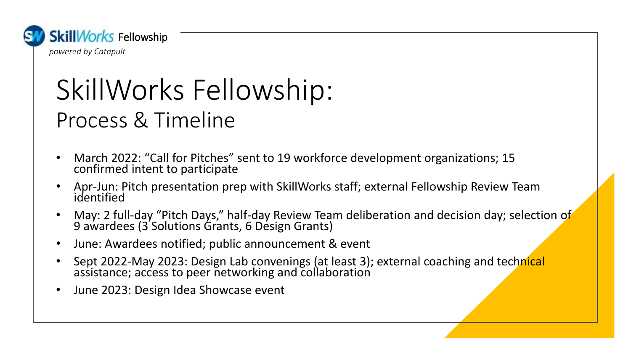

## SkillWorks Fellowship: Process & Timeline

- March 2022: "Call for Pitches" sent to 19 workforce development organizations; 15 confirmed intent to participate
- Apr-Jun: Pitch presentation prep with SkillWorks staff; external Fellowship Review Team identified
- May: 2 full-day "Pitch Days," half-day Review Team deliberation and decision day; selection of 9 awardees (3 Solutions Grants, 6 Design Grants)
- June: Awardees notified; public announcement & event
- Sept 2022-May 2023: Design Lab convenings (at least 3); external coaching and technical assistance; access to peer networking and collaboration
- June 2023: Design Idea Showcase event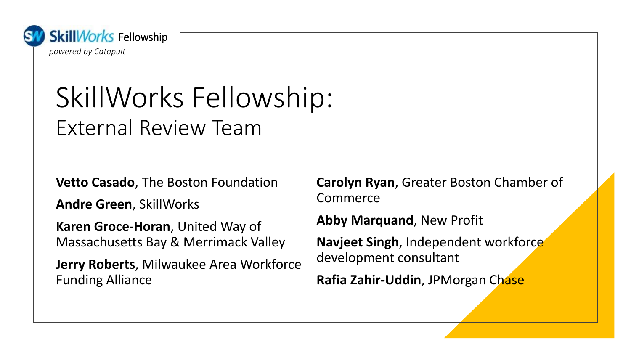

## SkillWorks Fellowship: External Review Team

**Vetto Casado**, The Boston Foundation

**Andre Green**, SkillWorks

**Karen Groce-Horan**, United Way of Massachusetts Bay & Merrimack Valley

**Jerry Roberts**, Milwaukee Area Workforce Funding Alliance

**Carolyn Ryan**, Greater Boston Chamber of Commerce

**Abby Marquand**, New Profit

**Navjeet Singh**, Independent workforce development consultant

**Rafia Zahir-Uddin**, JPMorgan Chase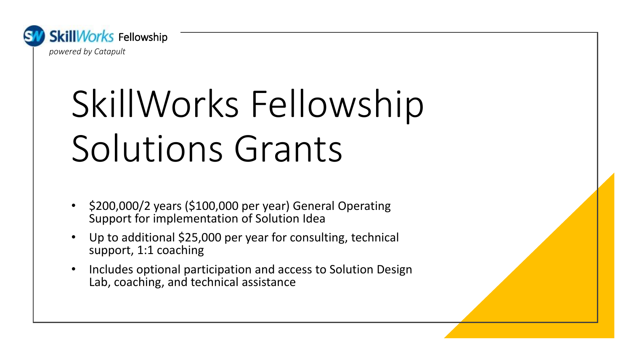

# SkillWorks Fellowship Solutions Grants

- \$200,000/2 years (\$100,000 per year) General Operating Support for implementation of Solution Idea
- Up to additional \$25,000 per year for consulting, technical support, 1:1 coaching
- Includes optional participation and access to Solution Design Lab, coaching, and technical assistance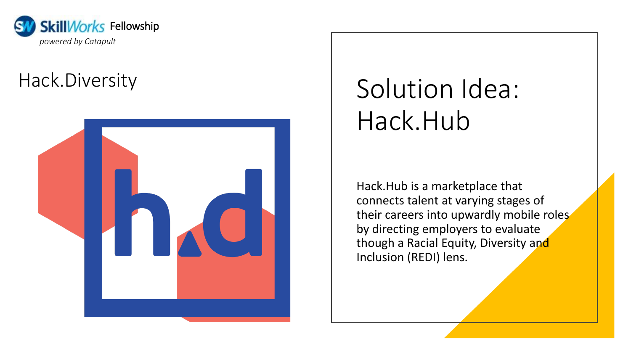

### Hack.Diversity



# Solution Idea: Hack.Hub

Hack.Hub is a marketplace that connects talent at varying stages of their careers into upwardly mobile roles by directing employers to evaluate though a Racial Equity, Diversity and Inclusion (REDI) lens.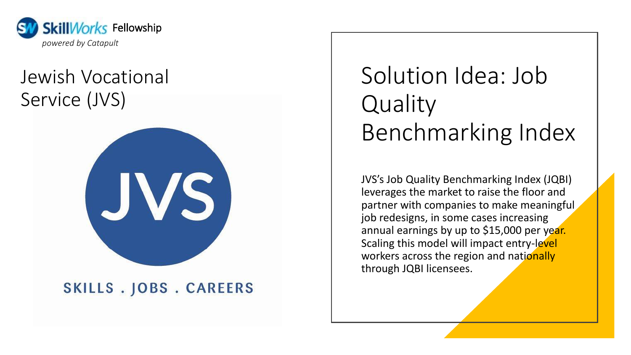

### Jewish Vocational Service (JVS)



#### SKILLS . JOBS . CAREERS

## Solution Idea: Job **Quality** Benchmarking Index

JVS's Job Quality Benchmarking Index (JQBI) leverages the market to raise the floor and partner with companies to make meaningful job redesigns, in some cases increasing annual earnings by up to \$15,000 per year. Scaling this model will impact entry-level workers across the region and nationally through JQBI licensees.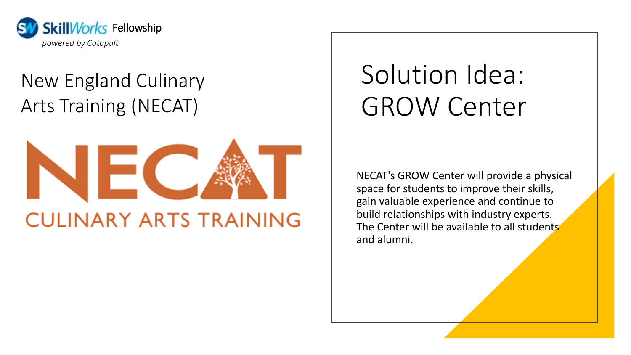

## New England Culinary Arts Training (NECAT)



## Solution Idea: GROW Center

NECAT's GROW Center will provide a physical space for students to improve their skills, gain valuable experience and continue to build relationships with industry experts. The Center will be available to all students and alumni.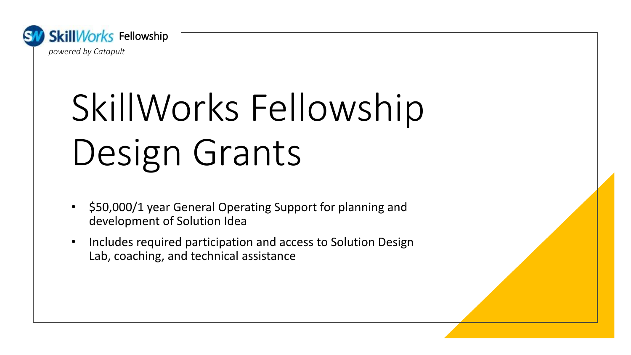

# SkillWorks Fellowship Design Grants

- \$50,000/1 year General Operating Support for planning and development of Solution Idea
- Includes required participation and access to Solution Design Lab, coaching, and technical assistance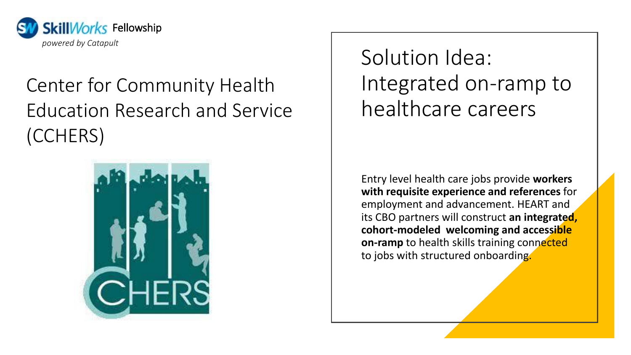

## Center for Community Health Education Research and Service (CCHERS)



Solution Idea: Integrated on-ramp to healthcare careers

Entry level health care jobs provide **workers with requisite experience and references** for employment and advancement. HEART and its CBO partners will construct **an integrated, cohort-modeled welcoming and accessible on-ramp** to health skills training connected to jobs with structured onboarding.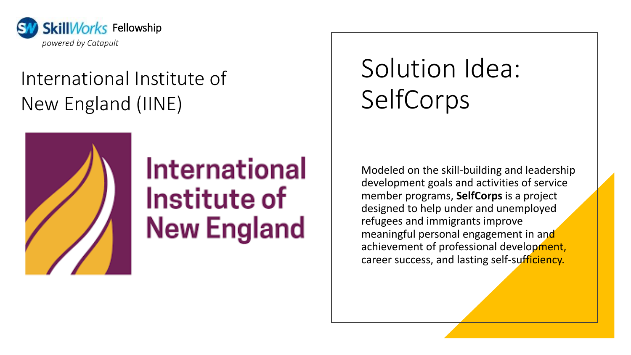

## International Institute of New England (IINE)



## **International** Institute of **New England**

## Solution Idea: SelfCorps

Modeled on the skill-building and leadership development goals and activities of service member programs, **SelfCorps** is a project designed to help under and unemployed refugees and immigrants improve meaningful personal engagement in and achievement of professional development, career success, and lasting self-sufficiency.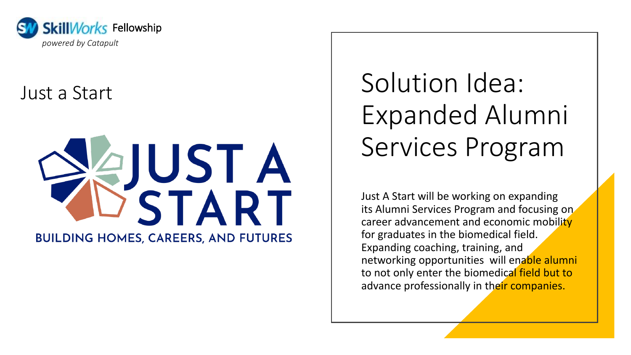

### Just a Start



Solution Idea: Expanded Alumni Services Program

Just A Start will be working on expanding its Alumni Services Program and focusing on career advancement and economic mobility for graduates in the biomedical field. Expanding coaching, training, and networking opportunities will enable alumni to not only enter the biomedical field but to advance professionally in their companies.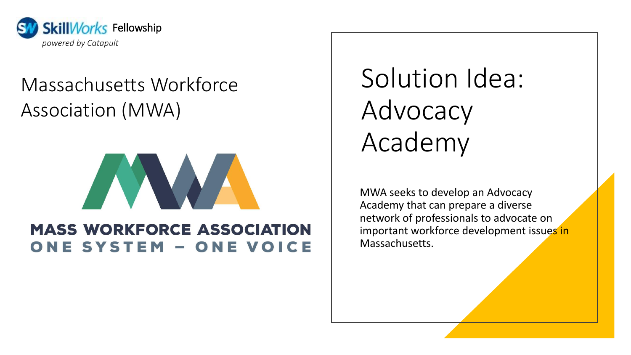

### Massachusetts Workforce Association (MWA)



#### **MASS WORKFORCE ASSOCIATION** ONE SYSTEM - ONE VOICE

Solution Idea: Advocacy Academy

MWA seeks to develop an Advocacy Academy that can prepare a diverse network of professionals to advocate on important workforce development issues in Massachusetts.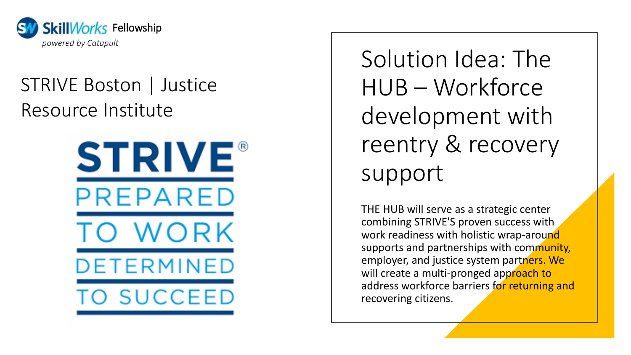

### STRIVE Boston | Justice Resource Institute



Solution Idea: The HUB – Workforce development with reentry & recovery support

THE HUB will serve as a strategic center combining STRIVE'S proven success with work readiness with holistic wrap-around supports and partnerships with community, employer, and justice system partners. We will create a multi-pronged approach to address workforce barriers for returning and recovering citizens.